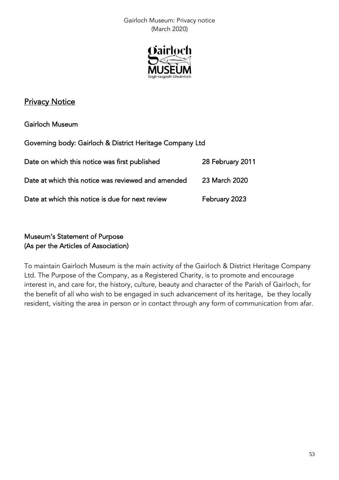Gairloch Museum: Privacy notice (March 2020)



# **Privacy Notice**

Gairloch Museum

| Governing body: Gairloch & District Heritage Company Ltd |                  |
|----------------------------------------------------------|------------------|
| Date on which this notice was first published            | 28 February 2011 |
| Date at which this notice was reviewed and amended       | 23 March 2020    |
| Date at which this notice is due for next review         | February 2023    |

# Museum's Statement of Purpose (As per the Articles of Association)

To maintain Gairloch Museum is the main activity of the Gairloch & District Heritage Company Ltd. The Purpose of the Company, as a Registered Charity, is to promote and encourage interest in, and care for, the history, culture, beauty and character of the Parish of Gairloch, for the benefit of all who wish to be engaged in such advancement of its heritage, be they locally resident, visiting the area in person or in contact through any form of communication from afar.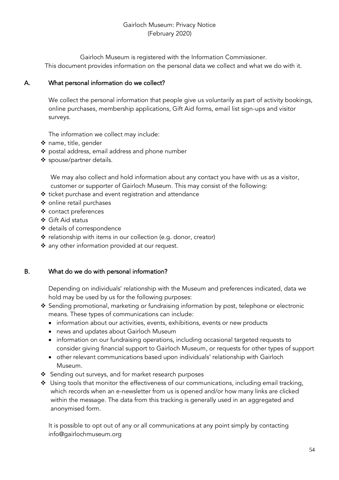# Gairloch Museum: Privacy Notice (February 2020)

Gairloch Museum is registered with the Information Commissioner. This document provides information on the personal data we collect and what we do with it.

# A. What personal information do we collect?

We collect the personal information that people give us voluntarily as part of activity bookings, online purchases, membership applications, Gift Aid forms, email list sign-ups and visitor surveys.

The information we collect may include:

- ❖ name, title, gender
- ❖ postal address, email address and phone number
- ❖ spouse/partner details.

We may also collect and hold information about any contact you have with us as a visitor, customer or supporter of Gairloch Museum. This may consist of the following:

- ❖ ticket purchase and event registration and attendance
- ❖ online retail purchases
- ❖ contact preferences
- ❖ Gift Aid status
- ❖ details of correspondence
- ❖ relationship with items in our collection (e.g. donor, creator)
- ❖ any other information provided at our request.

#### B. What do we do with personal information?

Depending on individuals' relationship with the Museum and preferences indicated, data we hold may be used by us for the following purposes:

- ❖ Sending promotional, marketing or fundraising information by post, telephone or electronic means. These types of communications can include:
	- information about our activities, events, exhibitions, events or new products
	- news and updates about Gairloch Museum
	- information on our fundraising operations, including occasional targeted requests to consider giving financial support to Gairloch Museum, or requests for other types of support
	- other relevant communications based upon individuals' relationship with Gairloch Museum.
- ❖ Sending out surveys, and for market research purposes
- ❖ Using tools that monitor the effectiveness of our communications, including email tracking, which records when an e-newsletter from us is opened and/or how many links are clicked within the message. The data from this tracking is generally used in an aggregated and anonymised form.

It is possible to opt out of any or all communications at any point simply by contacting info@gairlochmuseum.org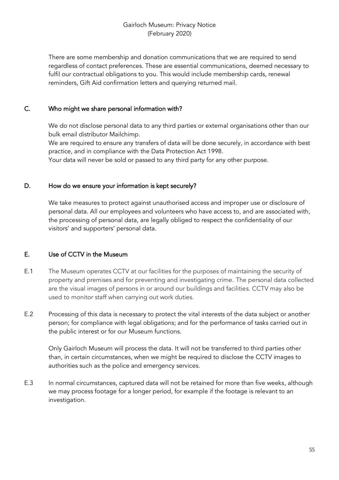## Gairloch Museum: Privacy Notice (February 2020)

There are some membership and donation communications that we are required to send regardless of contact preferences. These are essential communications, deemed necessary to fulfil our contractual obligations to you. This would include membership cards, renewal reminders, Gift Aid confirmation letters and querying returned mail.

# C. Who might we share personal information with?

We do not disclose personal data to any third parties or external organisations other than our bulk email distributor Mailchimp.

We are required to ensure any transfers of data will be done securely, in accordance with best practice, and in compliance with the Data Protection Act 1998.

Your data will never be sold or passed to any third party for any other purpose.

#### D. How do we ensure your information is kept securely?

We take measures to protect against unauthorised access and improper use or disclosure of personal data. All our employees and volunteers who have access to, and are associated with, the processing of personal data, are legally obliged to respect the confidentiality of our visitors' and supporters' personal data.

# E. Use of CCTV in the Museum

- E.1 The Museum operates CCTV at our facilities for the purposes of maintaining the security of property and premises and for preventing and investigating crime. The personal data collected are the visual images of persons in or around our buildings and facilities. CCTV may also be used to monitor staff when carrying out work duties.
- E.2 Processing of this data is necessary to protect the vital interests of the data subject or another person; for compliance with legal obligations; and for the performance of tasks carried out in the public interest or for our Museum functions.

Only Gairloch Museum will process the data. It will not be transferred to third parties other than, in certain circumstances, when we might be required to disclose the CCTV images to authorities such as the police and emergency services.

E.3 In normal circumstances, captured data will not be retained for more than five weeks, although we may process footage for a longer period, for example if the footage is relevant to an investigation.